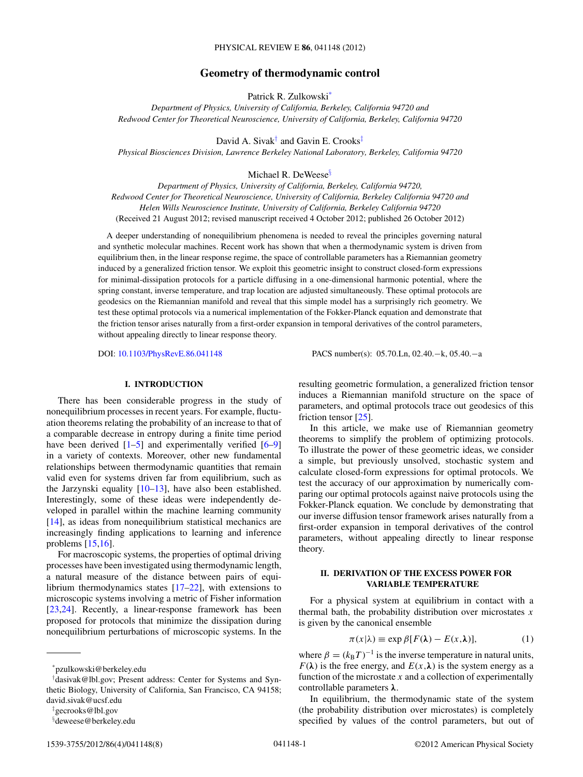## **Geometry of thermodynamic control**

Patrick R. Zulkowski\*

<span id="page-0-0"></span>*Department of Physics, University of California, Berkeley, California 94720 and Redwood Center for Theoretical Neuroscience, University of California, Berkeley, California 94720*

David A. Sivak<sup>†</sup> and Gavin E. Crooks<sup>‡</sup>

*Physical Biosciences Division, Lawrence Berkeley National Laboratory, Berkeley, California 94720*

Michael R. DeWeese<sup>§</sup>

*Department of Physics, University of California, Berkeley, California 94720, Redwood Center for Theoretical Neuroscience, University of California, Berkeley California 94720 and Helen Wills Neuroscience Institute, University of California, Berkeley California 94720* (Received 21 August 2012; revised manuscript received 4 October 2012; published 26 October 2012)

A deeper understanding of nonequilibrium phenomena is needed to reveal the principles governing natural and synthetic molecular machines. Recent work has shown that when a thermodynamic system is driven from equilibrium then, in the linear response regime, the space of controllable parameters has a Riemannian geometry induced by a generalized friction tensor. We exploit this geometric insight to construct closed-form expressions for minimal-dissipation protocols for a particle diffusing in a one-dimensional harmonic potential, where the spring constant, inverse temperature, and trap location are adjusted simultaneously. These optimal protocols are geodesics on the Riemannian manifold and reveal that this simple model has a surprisingly rich geometry. We test these optimal protocols via a numerical implementation of the Fokker-Planck equation and demonstrate that the friction tensor arises naturally from a first-order expansion in temporal derivatives of the control parameters, without appealing directly to linear response theory.

DOI: [10.1103/PhysRevE.86.041148](http://dx.doi.org/10.1103/PhysRevE.86.041148) PACS number(s): 05*.*70*.*Ln, 02*.*40*.*−k, 05*.*40*.*−a

### **I. INTRODUCTION**

There has been considerable progress in the study of nonequilibrium processes in recent years. For example, fluctuation theorems relating the probability of an increase to that of a comparable decrease in entropy during a finite time period have been derived  $[1-5]$  and experimentally verified  $[6-9]$ in a variety of contexts. Moreover, other new fundamental relationships between thermodynamic quantities that remain valid even for systems driven far from equilibrium, such as the Jarzynski equality  $[10-13]$ , have also been established. Interestingly, some of these ideas were independently developed in parallel within the machine learning community [\[14\]](#page-7-0), as ideas from nonequilibrium statistical mechanics are increasingly finding applications to learning and inference problems [\[15,16\]](#page-7-0).

For macroscopic systems, the properties of optimal driving processes have been investigated using thermodynamic length, a natural measure of the distance between pairs of equilibrium thermodynamics states  $[17–22]$ , with extensions to microscopic systems involving a metric of Fisher information [\[23,24\]](#page-7-0). Recently, a linear-response framework has been proposed for protocols that minimize the dissipation during nonequilibrium perturbations of microscopic systems. In the

resulting geometric formulation, a generalized friction tensor induces a Riemannian manifold structure on the space of parameters, and optimal protocols trace out geodesics of this friction tensor [\[25\]](#page-7-0).

In this article, we make use of Riemannian geometry theorems to simplify the problem of optimizing protocols. To illustrate the power of these geometric ideas, we consider a simple, but previously unsolved, stochastic system and calculate closed-form expressions for optimal protocols. We test the accuracy of our approximation by numerically comparing our optimal protocols against naive protocols using the Fokker-Planck equation. We conclude by demonstrating that our inverse diffusion tensor framework arises naturally from a first-order expansion in temporal derivatives of the control parameters, without appealing directly to linear response theory.

## **II. DERIVATION OF THE EXCESS POWER FOR VARIABLE TEMPERATURE**

For a physical system at equilibrium in contact with a thermal bath, the probability distribution over microstates *x* is given by the canonical ensemble

$$
\pi(x|\lambda) \equiv \exp \beta [F(\lambda) - E(x,\lambda)],\tag{1}
$$

where  $\beta = (k_B T)^{-1}$  is the inverse temperature in natural units,  $F(\lambda)$  is the free energy, and  $E(x,\lambda)$  is the system energy as a function of the microstate  $x$  and a collection of experimentally controllable parameters *λ*.

In equilibrium, the thermodynamic state of the system (the probability distribution over microstates) is completely specified by values of the control parameters, but out of

<sup>\*</sup>pzulkowski@berkeley.edu

<sup>†</sup> dasivak@lbl.gov; Present address: Center for Systems and Synthetic Biology, University of California, San Francisco, CA 94158; david.sivak@ucsf.edu

<sup>‡</sup> gecrooks@lbl.gov

<sup>§</sup> deweese@berkeley.edu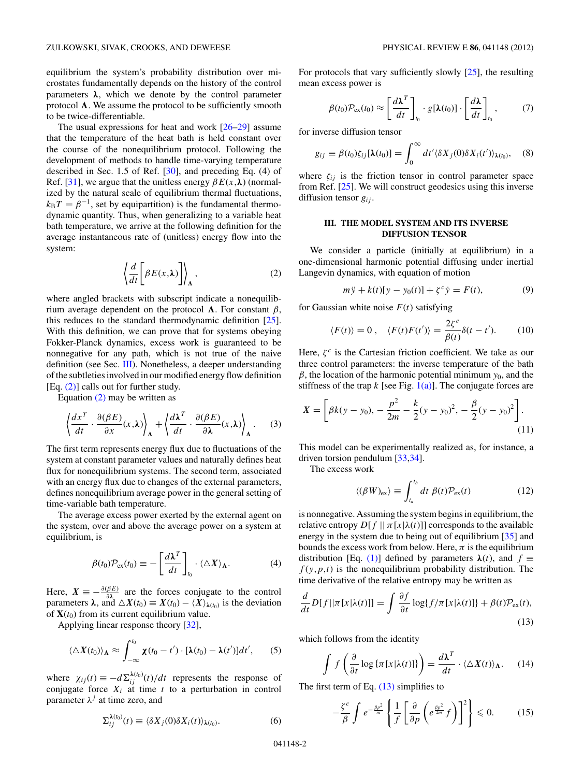<span id="page-1-0"></span>equilibrium the system's probability distribution over microstates fundamentally depends on the history of the control parameters  $λ$ , which we denote by the control parameter protocol  $\Lambda$ . We assume the protocol to be sufficiently smooth to be twice-differentiable.

The usual expressions for heat and work  $[26-29]$  assume that the temperature of the heat bath is held constant over the course of the nonequilibrium protocol. Following the development of methods to handle time-varying temperature described in Sec. 1.5 of Ref. [\[30\]](#page-7-0), and preceding Eq. (4) of Ref. [\[31\]](#page-7-0), we argue that the unitless energy  $\beta E(x,\lambda)$  (normalized by the natural scale of equilibrium thermal fluctuations,  $k_B T = \beta^{-1}$ , set by equipartition) is the fundamental thermodynamic quantity. Thus, when generalizing to a variable heat bath temperature, we arrive at the following definition for the average instantaneous rate of (unitless) energy flow into the system:

$$
\left\langle \frac{d}{dt} \left[ \beta E(x, \lambda) \right] \right\rangle_{\Lambda}, \tag{2}
$$

where angled brackets with subscript indicate a nonequilibrium average dependent on the protocol  $\Lambda$ . For constant  $\beta$ , this reduces to the standard thermodynamic definition [\[25\]](#page-7-0). With this definition, we can prove that for systems obeying Fokker-Planck dynamics, excess work is guaranteed to be nonnegative for any path, which is not true of the naive definition (see Sec. III). Nonetheless, a deeper understanding of the subtleties involved in our modified energy flow definition [Eq.  $(2)$ ] calls out for further study.

Equation (2) may be written as

$$
\left\langle \frac{dx^T}{dt} \cdot \frac{\partial(\beta E)}{\partial x}(x,\lambda) \right\rangle_{\Lambda} + \left\langle \frac{d\lambda^T}{dt} \cdot \frac{\partial(\beta E)}{\partial \lambda}(x,\lambda) \right\rangle_{\Lambda}.
$$
 (3)

The first term represents energy flux due to fluctuations of the system at constant parameter values and naturally defines heat flux for nonequilibrium systems. The second term, associated with an energy flux due to changes of the external parameters, defines nonequilibrium average power in the general setting of time-variable bath temperature.

The average excess power exerted by the external agent on the system, over and above the average power on a system at equilibrium, is

$$
\beta(t_0)\mathcal{P}_{\rm ex}(t_0) \equiv -\left[\frac{d\lambda^T}{dt}\right]_{t_0} \cdot \langle \Delta X \rangle_{\Lambda}.
$$
 (4)

Here,  $X = -\frac{\partial(\beta E)}{\partial \lambda}$  are the forces conjugate to the control parameters  $\lambda$ , and  $\Delta X(t_0) \equiv X(t_0) - \langle X \rangle_{\lambda(t_0)}$  is the deviation of  $$ 

Applying linear response theory [\[32\]](#page-7-0),

$$
\langle \Delta X(t_0) \rangle_{\Lambda} \approx \int_{-\infty}^{t_0} \chi(t_0 - t') \cdot [\lambda(t_0) - \lambda(t')] dt', \qquad (5)
$$

where  $\chi_{ij}(t) \equiv -d \Sigma_{ij}^{\lambda(t_0)}(t) / dt$  represents the response of conjugate force  $X_i$  at time  $t$  to a perturbation in control parameter  $\lambda^{j}$  at time zero, and

$$
\Sigma_{ij}^{\lambda(t_0)}(t) \equiv \langle \delta X_j(0) \delta X_i(t) \rangle_{\lambda(t_0)}.
$$
\n(6)

For protocols that vary sufficiently slowly [\[25\]](#page-7-0), the resulting mean excess power is

$$
\beta(t_0)\mathcal{P}_{\rm ex}(t_0) \approx \left[\frac{d\boldsymbol{\lambda}^T}{dt}\right]_{t_0} \cdot g[\boldsymbol{\lambda}(t_0)] \cdot \left[\frac{d\boldsymbol{\lambda}}{dt}\right]_{t_0},\tag{7}
$$

for inverse diffusion tensor

$$
g_{ij} \equiv \beta(t_0)\zeta_{ij}[\lambda(t_0)] = \int_0^\infty dt' \langle \delta X_j(0)\delta X_i(t')\rangle_{\lambda(t_0)}, \quad (8)
$$

where  $\zeta_{ij}$  is the friction tensor in control parameter space from Ref. [\[25\]](#page-7-0). We will construct geodesics using this inverse diffusion tensor *gij* .

#### **III. THE MODEL SYSTEM AND ITS INVERSE DIFFUSION TENSOR**

We consider a particle (initially at equilibrium) in a one-dimensional harmonic potential diffusing under inertial Langevin dynamics, with equation of motion

$$
m\ddot{y} + k(t)[y - y_0(t)] + \zeta^c \dot{y} = F(t),
$$
\n(9)

for Gaussian white noise  $F(t)$  satisfying

$$
\langle F(t) \rangle = 0 \,, \quad \langle F(t)F(t') \rangle = \frac{2\zeta^c}{\beta(t)} \delta(t - t'). \tag{10}
$$

Here,  $\zeta^c$  is the Cartesian friction coefficient. We take as our three control parameters: the inverse temperature of the bath  $\beta$ , the location of the harmonic potential minimum  $y_0$ , and the stiffness of the trap  $k$  [see Fig.  $1(a)$ ]. The conjugate forces are

$$
X = \left[ \beta k(y - y_0), -\frac{p^2}{2m} - \frac{k}{2}(y - y_0)^2, -\frac{\beta}{2}(y - y_0)^2 \right].
$$
\n(11)

This model can be experimentally realized as, for instance, a driven torsion pendulum [\[33,34\]](#page-7-0).

The excess work

$$
\langle (\beta W)_{\rm ex} \rangle \equiv \int_{t_a}^{t_b} dt \; \beta(t) \mathcal{P}_{\rm ex}(t) \tag{12}
$$

is nonnegative. Assuming the system begins in equilibrium, the relative entropy  $D[f] | \pi[x|\lambda(t)]$  corresponds to the available energy in the system due to being out of equilibrium [\[35\]](#page-7-0) and bounds the excess work from below. Here,  $\pi$  is the equilibrium distribution [Eq. [\(1\)\]](#page-0-0) defined by parameters  $\lambda(t)$ , and  $f \equiv$  $f(y, p, t)$  is the nonequilibrium probability distribution. The time derivative of the relative entropy may be written as

$$
\frac{d}{dt}D[f||\pi[x|\lambda(t)]] = \int \frac{\partial f}{\partial t} \log\{f/\pi[x|\lambda(t)]\} + \beta(t)\mathcal{P}_{\text{ex}}(t),\tag{13}
$$

which follows from the identity

$$
\int f\left(\frac{\partial}{\partial t}\log\left\{\pi[x|\lambda(t)]\right\}\right) = \frac{d\lambda^T}{dt} \cdot \langle \Delta X(t) \rangle_{\Lambda}.
$$
 (14)

The first term of Eq. (13) simplifies to

$$
-\frac{\zeta^c}{\beta} \int e^{-\frac{\beta p^2}{m}} \left\{ \frac{1}{f} \left[ \frac{\partial}{\partial p} \left( e^{\frac{\beta p^2}{2m}} f \right) \right]^2 \right\} \leq 0. \tag{15}
$$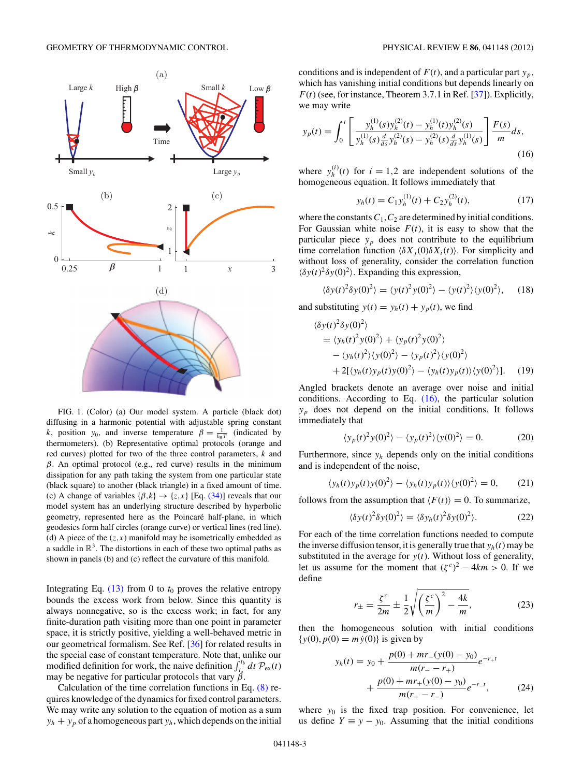<span id="page-2-0"></span>

FIG. 1. (Color) (a) Our model system. A particle (black dot) diffusing in a harmonic potential with adjustable spring constant *k*, position *y*<sub>0</sub>, and inverse temperature  $\beta = \frac{1}{k_B T}$  (indicated by thermometers). (b) Representative optimal protocols (orange and red curves) plotted for two of the three control parameters, *k* and *β*. An optimal protocol (e.g., red curve) results in the minimum dissipation for any path taking the system from one particular state (black square) to another (black triangle) in a fixed amount of time. (c) A change of variables  $\{\beta,k\} \rightarrow \{z,x\}$  [Eq. [\(34\)\]](#page-3-0) reveals that our model system has an underlying structure described by hyperbolic geometry, represented here as the Poincaré half-plane, in which geodesics form half circles (orange curve) or vertical lines (red line). (d) A piece of the  $(z, x)$  manifold may be isometrically embedded as a saddle in  $\mathbb{R}^3$ . The distortions in each of these two optimal paths as shown in panels (b) and (c) reflect the curvature of this manifold.

Integrating Eq.  $(13)$  from 0 to  $t_0$  proves the relative entropy bounds the excess work from below. Since this quantity is always nonnegative, so is the excess work; in fact, for any finite-duration path visiting more than one point in parameter space, it is strictly positive, yielding a well-behaved metric in our geometrical formalism. See Ref. [\[36\]](#page-7-0) for related results in the special case of constant temperature. Note that, unlike our modified definition for work, the naive definition  $\int_{t_a}^{t_b} dt \, \mathcal{P}_{\text{ex}}(t)$ may be negative for particular protocols that vary *β*.

Calculation of the time correlation functions in Eq. [\(8\)](#page-1-0) requires knowledge of the dynamics for fixed control parameters. We may write any solution to the equation of motion as a sum  $y_h + y_p$  of a homogeneous part  $y_h$ , which depends on the initial conditions and is independent of  $F(t)$ , and a particular part  $y_p$ , which has vanishing initial conditions but depends linearly on  $F(t)$  (see, for instance, Theorem 3.7.1 in Ref. [\[37\]](#page-7-0)). Explicitly, we may write

$$
y_p(t) = \int_0^t \left[ \frac{y_h^{(1)}(s)y_h^{(2)}(t) - y_h^{(1)}(t)y_h^{(2)}(s)}{y_h^{(1)}(s)\frac{d}{ds}y_h^{(2)}(s) - y_h^{(2)}(s)\frac{d}{ds}y_h^{(1)}(s)} \right] \frac{F(s)}{m} ds,
$$
\n(16)

where  $y_h^{(i)}(t)$  for  $i = 1,2$  are independent solutions of the homogeneous equation. It follows immediately that

$$
y_h(t) = C_1 y_h^{(1)}(t) + C_2 y_h^{(2)}(t),
$$
\n(17)

where the constants  $C_1$ ,  $C_2$  are determined by initial conditions. For Gaussian white noise  $F(t)$ , it is easy to show that the particular piece  $y_p$  does not contribute to the equilibrium time correlation function  $\langle \delta X_i(0) \delta X_i(t) \rangle$ . For simplicity and without loss of generality, consider the correlation function  $\langle \delta y(t)^2 \delta y(0)^2 \rangle$ . Expanding this expression,

$$
\langle \delta y(t)^2 \delta y(0)^2 \rangle = \langle y(t)^2 y(0)^2 \rangle - \langle y(t)^2 \rangle \langle y(0)^2 \rangle, \quad (18)
$$

and substituting  $y(t) = y_h(t) + y_p(t)$ , we find

$$
\langle \delta y(t)^2 \delta y(0)^2 \rangle
$$
  
=  $\langle y_h(t)^2 y(0)^2 \rangle + \langle y_p(t)^2 y(0)^2 \rangle$   
-  $\langle y_h(t)^2 \rangle \langle y(0)^2 \rangle - \langle y_p(t)^2 \rangle \langle y(0)^2 \rangle$   
+  $2[\langle y_h(t) y_p(t) y(0)^2 \rangle - \langle y_h(t) y_p(t) \rangle \langle y(0)^2 \rangle].$  (19)

Angled brackets denote an average over noise and initial conditions. According to Eq. (16), the particular solution  $y_p$  does not depend on the initial conditions. It follows immediately that

$$
\langle y_p(t)^2 y(0)^2 \rangle - \langle y_p(t)^2 \rangle \langle y(0)^2 \rangle = 0. \tag{20}
$$

Furthermore, since  $y_h$  depends only on the initial conditions and is independent of the noise,

$$
\langle y_h(t)y_p(t)y(0)^2 \rangle - \langle y_h(t)y_p(t) \rangle \langle y(0)^2 \rangle = 0, \qquad (21)
$$

follows from the assumption that  $\langle F(t) \rangle = 0$ . To summarize,

$$
\langle \delta y(t)^2 \delta y(0)^2 \rangle = \langle \delta y_h(t)^2 \delta y(0)^2 \rangle. \tag{22}
$$

For each of the time correlation functions needed to compute the inverse diffusion tensor, it is generally true that  $y_h(t)$  may be substituted in the average for  $y(t)$ . Without loss of generality, let us assume for the moment that  $({\zeta}^c)^2 - 4km > 0$ . If we define

$$
r_{\pm} = \frac{\zeta^c}{2m} \pm \frac{1}{2} \sqrt{\left(\frac{\zeta^c}{m}\right)^2 - \frac{4k}{m}},\tag{23}
$$

then the homogeneous solution with initial conditions  $\{y(0), p(0) = m\dot{y}(0)\}\$ is given by

$$
y_h(t) = y_0 + \frac{p(0) + mr_{-}(y(0) - y_0)}{m(r_{-} - r_{+})}e^{-r_{+}t} + \frac{p(0) + mr_{+}(y(0) - y_0)}{m(r_{+} - r_{-})}e^{-r_{-}t},
$$
 (24)

where  $y_0$  is the fixed trap position. For convenience, let us define  $Y \equiv y - y_0$ . Assuming that the initial conditions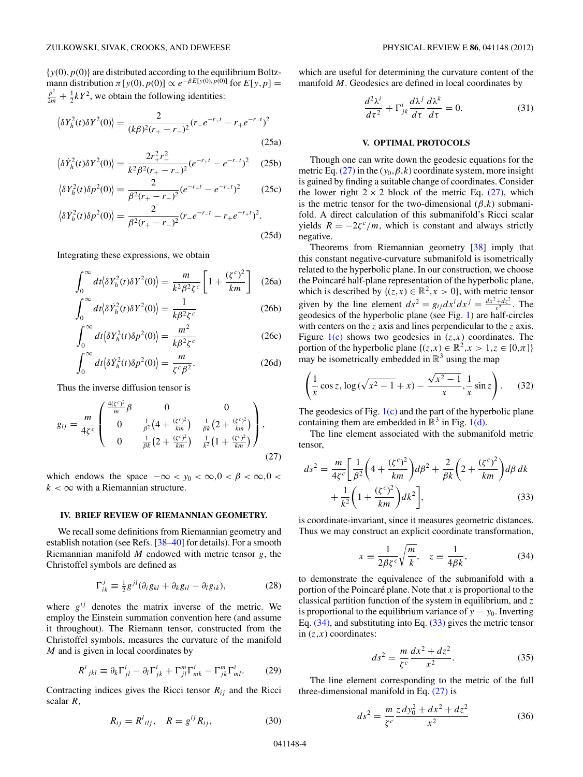<span id="page-3-0"></span> $\{y(0), p(0)\}\$ are distributed according to the equilibrium Boltzmann distribution  $\pi$ [*y*(0)*, p*(0)]  $\propto e^{-\beta E[y(0), p(0)]}$  for  $E[y, p] =$  $\frac{p^2}{2m} + \frac{1}{2}kY^2$ , we obtain the following identities:

$$
\langle \delta Y_h^2(t) \delta Y^2(0) \rangle = \frac{2}{(k\beta)^2 (r_+ - r_-)^2} (r_- e^{-r_+ t} - r_+ e^{-r_- t})^2
$$
\n(25a)

$$
\langle \delta \dot{Y}_h^2(t) \delta Y^2(0) \rangle = \frac{2r_+^2 r_-^2}{k^2 \beta^2 (r_+ - r_-)^2} (e^{-r_+ t} - e^{-r_- t})^2 \tag{25b}
$$

$$
\langle \delta Y_h^2(t) \delta p^2(0) \rangle = \frac{2}{\beta^2 (r_+ - r_-)^2} (e^{-r_+ t} - e^{-r_- t})^2 \tag{25c}
$$

$$
\langle \delta \dot{Y}_h^2(t) \delta p^2(0) \rangle = \frac{2}{\beta^2 (r_+ - r_-)^2} (r_- e^{-r_- t} - r_+ e^{-r_+ t})^2.
$$
\n(25d)

Integrating these expressions, we obtain

$$
\int_0^\infty dt \langle \delta Y_h^2(t) \delta Y^2(0) \rangle = \frac{m}{k^2 \beta^2 \zeta^c} \left[ 1 + \frac{(\zeta^c)^2}{km} \right] \tag{26a}
$$

$$
\int_0^\infty dt \langle \delta \dot{Y}_h^2(t) \delta Y^2(0) \rangle = \frac{1}{k \beta^2 \zeta^c}
$$
 (26b)

$$
\int_0^\infty dt \langle \delta Y_h^2(t) \delta p^2(0) \rangle = \frac{m^2}{k \beta^2 \zeta^c}
$$
 (26c)

$$
\int_0^\infty dt \langle \delta \dot{Y}_h^2(t) \delta p^2(0) \rangle = \frac{m}{\zeta^c \beta^2}.
$$
 (26d)

Thus the inverse diffusion tensor is

$$
g_{ij} = \frac{m}{4\zeta^c} \begin{pmatrix} \frac{4(\zeta^c)^2}{m} \beta & 0 & 0\\ 0 & \frac{1}{\beta^2} \left(4 + \frac{(\zeta^c)^2}{km}\right) & \frac{1}{\beta k} \left(2 + \frac{(\zeta^c)^2}{km}\right)\\ 0 & \frac{1}{\beta k} \left(2 + \frac{(\zeta^c)^2}{km}\right) & \frac{1}{k^2} \left(1 + \frac{(\zeta^c)^2}{km}\right) \end{pmatrix},
$$
(27)

which endows the space  $-\infty < y_0 < \infty, 0 < \beta < \infty, 0 <$  $k < \infty$  with a Riemannian structure.

#### **IV. BRIEF REVIEW OF RIEMANNIAN GEOMETRY.**

We recall some definitions from Riemannian geometry and establish notation (see Refs. [\[38–40\]](#page-7-0) for details). For a smooth Riemannian manifold *M* endowed with metric tensor *g*, the Christoffel symbols are defined as

$$
\Gamma_{ik}^{j} \equiv \frac{1}{2} g^{jl} (\partial_i g_{kl} + \partial_k g_{il} - \partial_l g_{ik}), \qquad (28)
$$

where  $g^{ij}$  denotes the matrix inverse of the metric. We employ the Einstein summation convention here (and assume it throughout). The Riemann tensor, constructed from the Christoffel symbols, measures the curvature of the manifold *M* and is given in local coordinates by

$$
R^{i}{}_{jkl} \equiv \partial_{k}\Gamma^{i}_{jl} - \partial_{l}\Gamma^{i}_{jk} + \Gamma^{m}_{jl}\Gamma^{i}_{mk} - \Gamma^{m}_{jk}\Gamma^{i}_{ml}.
$$
 (29)

Contracting indices gives the Ricci tensor  $R_{ij}$  and the Ricci scalar *R*,

$$
R_{ij} = R^l_{\ ilj}, \quad R = g^{ij} R_{ij}, \tag{30}
$$

which are useful for determining the curvature content of the manifold *M*. Geodesics are defined in local coordinates by

$$
\frac{d^2\lambda^i}{d\tau^2} + \Gamma^i_{jk}\frac{d\lambda^j}{d\tau}\frac{d\lambda^k}{d\tau} = 0.
$$
 (31)

### **V. OPTIMAL PROTOCOLS**

Though one can write down the geodesic equations for the metric Eq. (27) in the  $(y_0, \beta, k)$  coordinate system, more insight is gained by finding a suitable change of coordinates. Consider the lower right  $2 \times 2$  block of the metric Eq. (27), which is the metric tensor for the two-dimensional  $(\beta, k)$  submanifold. A direct calculation of this submanifold's Ricci scalar yields  $R = -2\zeta^c/m$ , which is constant and always strictly negative.

Theorems from Riemannian geometry [\[38\]](#page-7-0) imply that this constant negative-curvature submanifold is isometrically related to the hyperbolic plane. In our construction, we choose the Poincaré half-plane representation of the hyperbolic plane, which is described by  $\{(z, x) \in \mathbb{R}^2, x > 0\}$ , with metric tensor given by the line element  $ds^2 = g_{ij}dx^i dx^j = \frac{dx^2 + dz^2}{x^2}$ . The geodesics of the hyperbolic plane (see Fig. [1\)](#page-2-0) are half-circles with centers on the *z* axis and lines perpendicular to the *z* axis. Figure  $1(c)$  shows two geodesics in  $(z, x)$  coordinates. The portion of the hyperbolic plane  $\{(z, x) \in \mathbb{R}^2, x > 1, z \in [0, \pi]\}$ may be isometrically embedded in  $\mathbb{R}^3$  using the map

$$
\left(\frac{1}{x}\cos z, \log(\sqrt{x^2 - 1} + x) - \frac{\sqrt{x^2 - 1}}{x}, \frac{1}{x}\sin z\right). \tag{32}
$$

The geodesics of Fig.  $1(c)$  and the part of the hyperbolic plane containing them are embedded in  $\mathbb{R}^3$  in Fig. [1\(d\).](#page-2-0)

The line element associated with the submanifold metric tensor,

$$
ds^{2} = \frac{m}{4\zeta^{c}} \left[ \frac{1}{\beta^{2}} \left( 4 + \frac{(\zeta^{c})^{2}}{km} \right) d\beta^{2} + \frac{2}{\beta k} \left( 2 + \frac{(\zeta^{c})^{2}}{km} \right) d\beta dk + \frac{1}{k^{2}} \left( 1 + \frac{(\zeta^{c})^{2}}{km} \right) dk^{2} \right],
$$
 (33)

is coordinate-invariant, since it measures geometric distances. Thus we may construct an explicit coordinate transformation,

$$
x \equiv \frac{1}{2\beta \zeta^c} \sqrt{\frac{m}{k}}, \quad z \equiv \frac{1}{4\beta k}, \tag{34}
$$

to demonstrate the equivalence of the submanifold with a portion of the Poincaré plane. Note that  $x$  is proportional to the classical partition function of the system in equilibrium, and *z* is proportional to the equilibrium variance of  $y - y_0$ . Inverting Eq. (34), and substituting into Eq. (33) gives the metric tensor in  $(z, x)$  coordinates:

$$
ds^2 = \frac{m}{\zeta^c} \frac{dx^2 + dz^2}{x^2}.
$$
 (35)

The line element corresponding to the metric of the full three-dimensional manifold in Eq. (27) is

$$
ds^2 = \frac{m}{\zeta^c} \frac{z \, dy_0^2 + dx^2 + dz^2}{x^2} \tag{36}
$$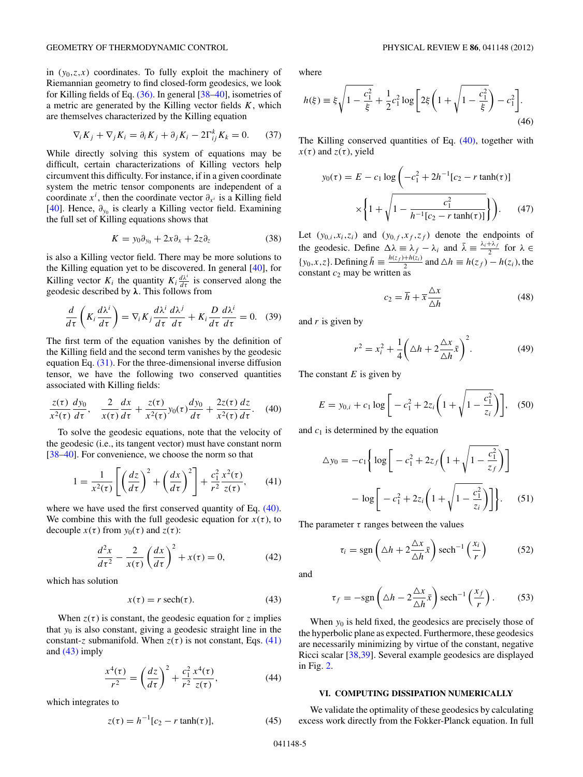<span id="page-4-0"></span>in  $(y_0, z, x)$  coordinates. To fully exploit the machinery of Riemannian geometry to find closed-form geodesics, we look for Killing fields of Eq. [\(36\).](#page-3-0) In general [\[38–40\]](#page-7-0), isometries of a metric are generated by the Killing vector fields *K*, which are themselves characterized by the Killing equation

$$
\nabla_i K_j + \nabla_j K_i = \partial_i K_j + \partial_j K_i - 2\Gamma_{ij}^k K_k = 0. \tag{37}
$$

While directly solving this system of equations may be difficult, certain characterizations of Killing vectors help circumvent this difficulty. For instance, if in a given coordinate system the metric tensor components are independent of a coordinate  $x^i$ , then the coordinate vector  $\partial_{x^i}$  is a Killing field [\[40\]](#page-7-0). Hence,  $∂<sub>γ0</sub>$  is clearly a Killing vector field. Examining the full set of Killing equations shows that

$$
K = y_0 \partial_{y_0} + 2x \partial_x + 2z \partial_z \tag{38}
$$

is also a Killing vector field. There may be more solutions to the Killing equation yet to be discovered. In general [\[40\]](#page-7-0), for Killing vector  $K_i$  the quantity  $K_i \frac{d\lambda^i}{d\tau}$  is conserved along the geodesic described by *λ*. This follows from

$$
\frac{d}{d\tau}\left(K_i\frac{d\lambda^i}{d\tau}\right) = \nabla_i K_j \frac{d\lambda^i}{d\tau}\frac{d\lambda^j}{d\tau} + K_i \frac{D}{d\tau}\frac{d\lambda^i}{d\tau} = 0.
$$
 (39)

The first term of the equation vanishes by the definition of the Killing field and the second term vanishes by the geodesic equation Eq. [\(31\).](#page-3-0) For the three-dimensional inverse diffusion tensor, we have the following two conserved quantities associated with Killing fields:

$$
\frac{z(\tau)}{x^2(\tau)}\frac{dy_0}{d\tau}, \quad \frac{2}{x(\tau)}\frac{dx}{d\tau} + \frac{z(\tau)}{x^2(\tau)}y_0(\tau)\frac{dy_0}{d\tau} + \frac{2z(\tau)}{x^2(\tau)}\frac{dz}{d\tau}.
$$
 (40)

To solve the geodesic equations, note that the velocity of the geodesic (i.e., its tangent vector) must have constant norm [\[38–40\]](#page-7-0). For convenience, we choose the norm so that

$$
1 = \frac{1}{x^2(\tau)} \left[ \left( \frac{dz}{d\tau} \right)^2 + \left( \frac{dx}{d\tau} \right)^2 \right] + \frac{c_1^2}{r^2} \frac{x^2(\tau)}{z(\tau)},\qquad(41)
$$

where we have used the first conserved quantity of Eq.  $(40)$ . We combine this with the full geodesic equation for  $x(\tau)$ , to decouple  $x(\tau)$  from  $y_0(\tau)$  and  $z(\tau)$ :

$$
\frac{d^2x}{d\tau^2} - \frac{2}{x(\tau)} \left(\frac{dx}{d\tau}\right)^2 + x(\tau) = 0,\tag{42}
$$

which has solution

$$
x(\tau) = r \operatorname{sech}(\tau). \tag{43}
$$

When  $z(\tau)$  is constant, the geodesic equation for *z* implies that *y*<sup>0</sup> is also constant, giving a geodesic straight line in the constant-*z* submanifold. When  $z(\tau)$  is not constant, Eqs. (41) and (43) imply

$$
\frac{x^4(\tau)}{r^2} = \left(\frac{dz}{d\tau}\right)^2 + \frac{c_1^2}{r^2} \frac{x^4(\tau)}{z(\tau)},\tag{44}
$$

which integrates to

$$
z(\tau) = h^{-1}[c_2 - r \tanh(\tau)],
$$
 (45)

where

$$
h(\xi) \equiv \xi \sqrt{1 - \frac{c_1^2}{\xi}} + \frac{1}{2}c_1^2 \log \left[ 2\xi \left( 1 + \sqrt{1 - \frac{c_1^2}{\xi}} \right) - c_1^2 \right].
$$
\n(46)

The Killing conserved quantities of Eq. (40), together with  $x(\tau)$  and  $z(\tau)$ , yield

$$
y_0(\tau) = E - c_1 \log \left( -c_1^2 + 2h^{-1} [c_2 - r \tanh(\tau)] \right)
$$

$$
\times \left\{ 1 + \sqrt{1 - \frac{c_1^2}{h^{-1} [c_2 - r \tanh(\tau)]}} \right\} \right). \tag{47}
$$

Let  $(y_{0,i},x_i,z_i)$  and  $(y_{0,f},x_f,z_f)$  denote the endpoints of the geodesic. Define  $\Delta \lambda = \lambda_f - \lambda_i$  and  $\bar{\lambda} = \frac{\lambda_i + \lambda_f}{2}$  for  $\lambda \in$ {*y*<sub>0</sub>, *x*, *z*}. Defining  $\bar{h} \equiv \frac{h(z_f) + h(z_i)}{2}$  and  $\Delta h \equiv h(z_f) - h(z_i)$ , the constant  $c_2$  may be written as

$$
c_2 = \overline{h} + \overline{x} \frac{\Delta x}{\Delta h}
$$
 (48)

and *r* is given by

$$
r^2 = x_i^2 + \frac{1}{4} \left( \Delta h + 2 \frac{\Delta x}{\Delta h} \bar{x} \right)^2.
$$
 (49)

The constant *E* is given by

$$
E = y_{0,i} + c_1 \log \left[ -c_1^2 + 2z_i \left( 1 + \sqrt{1 - \frac{c_1^2}{z_i}} \right) \right], \quad (50)
$$

and  $c_1$  is determined by the equation

$$
\Delta y_0 = -c_1 \left\{ \log \left[ -c_1^2 + 2z_f \left( 1 + \sqrt{1 - \frac{c_1^2}{z_f}} \right) \right] - \log \left[ -c_1^2 + 2z_i \left( 1 + \sqrt{1 - \frac{c_1^2}{z_i}} \right) \right] \right\}.
$$
 (51)

The parameter  $\tau$  ranges between the values

$$
\tau_i = \text{sgn}\left(\Delta h + 2\frac{\Delta x}{\Delta h}\bar{x}\right) \text{sech}^{-1}\left(\frac{x_i}{r}\right) \tag{52}
$$

and

$$
\tau_f = -\text{sgn}\left(\Delta h - 2\frac{\Delta x}{\Delta h}\bar{x}\right)\text{sech}^{-1}\left(\frac{x_f}{r}\right). \tag{53}
$$

When  $y_0$  is held fixed, the geodesics are precisely those of the hyperbolic plane as expected. Furthermore, these geodesics are necessarily minimizing by virtue of the constant, negative Ricci scalar [\[38,39\]](#page-7-0). Several example geodesics are displayed in Fig. [2.](#page-5-0)

#### **VI. COMPUTING DISSIPATION NUMERICALLY**

We validate the optimality of these geodesics by calculating excess work directly from the Fokker-Planck equation. In full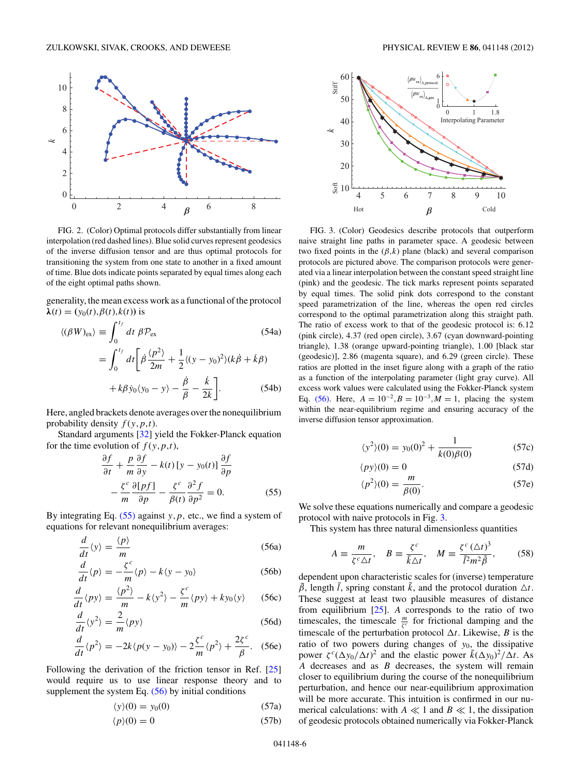<span id="page-5-0"></span>

FIG. 2. (Color) Optimal protocols differ substantially from linear interpolation (red dashed lines). Blue solid curves represent geodesics of the inverse diffusion tensor and are thus optimal protocols for transitioning the system from one state to another in a fixed amount of time. Blue dots indicate points separated by equal times along each of the eight optimal paths shown.

generality, the mean excess work as a functional of the protocol  $λ(t) = (y_0(t), β(t), k(t))$  is

$$
\langle (\beta W)_{\text{ex}} \rangle \equiv \int_0^{t_f} dt \; \beta \mathcal{P}_{\text{ex}} \tag{54a}
$$
\n
$$
= \int_0^{t_f} dt \left[ \dot{\beta} \frac{\langle p^2 \rangle}{2m} + \frac{1}{2} \langle (y - y_0)^2 \rangle (k \dot{\beta} + k \beta) + k \beta \dot{y}_0 \langle y_0 - y \rangle - \frac{\dot{\beta}}{\beta} - \frac{\dot{k}}{2k} \right]. \tag{54b}
$$

Here, angled brackets denote averages over the nonequilibrium probability density  $f(y, p, t)$ .

Standard arguments [\[32\]](#page-7-0) yield the Fokker-Planck equation for the time evolution of  $f(y, p, t)$ ,

$$
\frac{\partial f}{\partial t} + \frac{p}{m} \frac{\partial f}{\partial y} - k(t) \left[ y - y_0(t) \right] \frac{\partial f}{\partial p} \n- \frac{\zeta^c}{m} \frac{\partial [pf]}{\partial p} - \frac{\zeta^c}{\beta(t)} \frac{\partial^2 f}{\partial p^2} = 0.
$$
\n(55)

By integrating Eq. (55) against *y,p,* etc., we find a system of equations for relevant nonequilibrium averages:

$$
\frac{d}{dt}\langle y \rangle = \frac{\langle p \rangle}{m}
$$
 (56a)

$$
\frac{d}{dt}\langle p\rangle = -\frac{\zeta^c}{m}\langle p\rangle - k\langle y - y_0\rangle
$$
 (56b)

$$
\frac{d}{dt}\langle py\rangle = \frac{\langle p^2\rangle}{m} - k\langle y^2\rangle - \frac{\zeta^c}{m}\langle py\rangle + ky_0\langle y\rangle \tag{56c}
$$

$$
\frac{d}{dt}\langle y^2 \rangle = \frac{2}{m}\langle py \rangle
$$
 (56d)

$$
\frac{d}{dt}\langle p^2 \rangle = -2k\langle p(y - y_0) \rangle - 2\frac{\zeta^c}{m}\langle p^2 \rangle + \frac{2\zeta^c}{\beta}.
$$
 (56e)

Following the derivation of the friction tensor in Ref. [\[25\]](#page-7-0) would require us to use linear response theory and to supplement the system Eq.  $(56)$  by initial conditions

$$
\langle y \rangle(0) = y_0(0) \tag{57a}
$$

$$
\langle p \rangle(0) = 0 \tag{57b}
$$



FIG. 3. (Color) Geodesics describe protocols that outperform naive straight line paths in parameter space. A geodesic between two fixed points in the  $(\beta, k)$  plane (black) and several comparison protocols are pictured above. The comparison protocols were generated via a linear interpolation between the constant speed straight line (pink) and the geodesic. The tick marks represent points separated by equal times. The solid pink dots correspond to the constant speed parametrization of the line, whereas the open red circles correspond to the optimal parametrization along this straight path. The ratio of excess work to that of the geodesic protocol is: 6*.*12 (pink circle), 4*.*37 (red open circle), 3*.*67 (cyan downward-pointing triangle), 1*.*38 (orange upward-pointing triangle), 1*.*00 [black star (geodesic)], 2*.*86 (magenta square), and 6*.*29 (green circle). These ratios are plotted in the inset figure along with a graph of the ratio as a function of the interpolating parameter (light gray curve). All excess work values were calculated using the Fokker-Planck system Eq. (56). Here,  $A = 10^{-2}$ ,  $B = 10^{-3}$ ,  $M = 1$ , placing the system within the near-equilibrium regime and ensuring accuracy of the inverse diffusion tensor approximation.

$$
\langle y^2 \rangle(0) = y_0(0)^2 + \frac{1}{k(0)\beta(0)}\tag{57c}
$$

$$
\langle py \rangle(0) = 0 \tag{57d}
$$

$$
\langle p^2 \rangle(0) = \frac{m}{\beta(0)}.\tag{57e}
$$

We solve these equations numerically and compare a geodesic protocol with naive protocols in Fig. 3.

This system has three natural dimensionless quantities

$$
A \equiv \frac{m}{\zeta^c \Delta t}, \quad B \equiv \frac{\zeta^c}{\tilde{k}\Delta t}, \quad M \equiv \frac{\zeta^c (\Delta t)^3}{\tilde{l}^2 m^2 \tilde{\beta}}, \quad (58)
$$

dependent upon characteristic scales for (inverse) temperature  $\tilde{\beta}$ , length  $\tilde{l}$ , spring constant  $\tilde{k}$ , and the protocol duration  $\Delta t$ . These suggest at least two plausible measures of distance from equilibrium [\[25\]](#page-7-0). *A* corresponds to the ratio of two timescales, the timescale  $\frac{m}{\zeta^c}$  for frictional damping and the timescale of the perturbation protocol  $\Delta t$ . Likewise, *B* is the ratio of two powers during changes of  $y_0$ , the dissipative power  $\zeta^c (\Delta y_0 / \Delta t)^2$  and the elastic power  $\tilde{k} (\Delta y_0)^2 / \Delta t$ . As *A* decreases and as *B* decreases, the system will remain closer to equilibrium during the course of the nonequilibrium perturbation, and hence our near-equilibrium approximation will be more accurate. This intuition is confirmed in our numerical calculations: with  $A \ll 1$  and  $B \ll 1$ , the dissipation of geodesic protocols obtained numerically via Fokker-Planck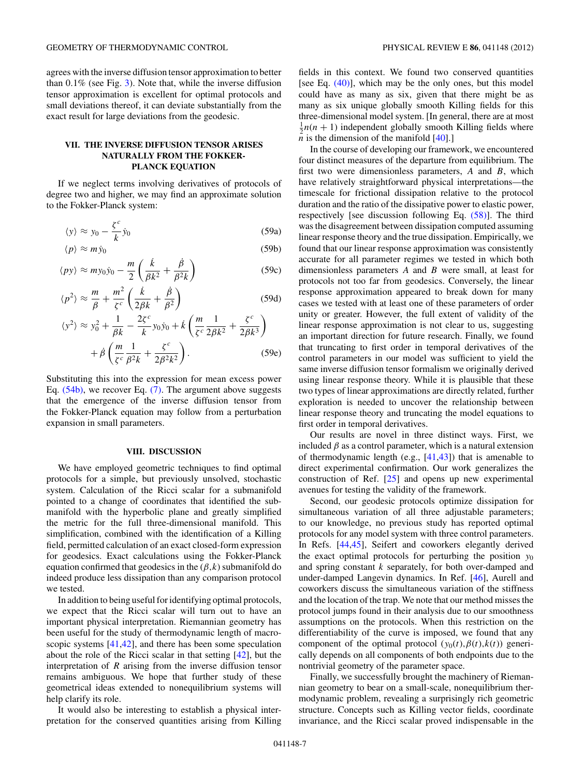agrees with the inverse diffusion tensor approximation to better than 0*.*1% (see Fig. [3\)](#page-5-0). Note that, while the inverse diffusion tensor approximation is excellent for optimal protocols and small deviations thereof, it can deviate substantially from the exact result for large deviations from the geodesic.

# **VII. THE INVERSE DIFFUSION TENSOR ARISES NATURALLY FROM THE FOKKER-PLANCK EQUATION**

If we neglect terms involving derivatives of protocols of degree two and higher, we may find an approximate solution to the Fokker-Planck system:

$$
\langle y \rangle \approx y_0 - \frac{\zeta^c}{k} \dot{y}_0 \tag{59a}
$$

$$
\langle p \rangle \approx m \dot{y}_0 \tag{59b}
$$
\n
$$
\langle p \rangle \approx m \dot{y}_0 \tag{59c}
$$

$$
\langle py \rangle \approx m y_0 \dot{y}_0 - \frac{m}{2} \left( \frac{\dot{k}}{\beta k^2} + \frac{\dot{\beta}}{\beta^2 k} \right) \tag{59c}
$$

$$
\langle p^2 \rangle \approx \frac{m}{\beta} + \frac{m^2}{\zeta^c} \left( \frac{\dot{k}}{2\beta k} + \frac{\dot{\beta}}{\beta^2} \right) \tag{59d}
$$

$$
\langle y^2 \rangle \approx y_0^2 + \frac{1}{\beta k} - \frac{2\zeta^c}{k} y_0 \dot{y}_0 + \dot{k} \left( \frac{m}{\zeta^c} \frac{1}{2\beta k^2} + \frac{\zeta^c}{2\beta k^3} \right) + \dot{\beta} \left( \frac{m}{\zeta^c} \frac{1}{\beta^2 k} + \frac{\zeta^c}{2\beta^2 k^2} \right). \tag{59e}
$$

Substituting this into the expression for mean excess power Eq. [\(54b\),](#page-5-0) we recover Eq. [\(7\).](#page-1-0) The argument above suggests that the emergence of the inverse diffusion tensor from the Fokker-Planck equation may follow from a perturbation expansion in small parameters.

# **VIII. DISCUSSION**

We have employed geometric techniques to find optimal protocols for a simple, but previously unsolved, stochastic system. Calculation of the Ricci scalar for a submanifold pointed to a change of coordinates that identified the submanifold with the hyperbolic plane and greatly simplified the metric for the full three-dimensional manifold. This simplification, combined with the identification of a Killing field, permitted calculation of an exact closed-form expression for geodesics. Exact calculations using the Fokker-Planck equation confirmed that geodesics in the  $(\beta, k)$  submanifold do indeed produce less dissipation than any comparison protocol we tested.

In addition to being useful for identifying optimal protocols, we expect that the Ricci scalar will turn out to have an important physical interpretation. Riemannian geometry has been useful for the study of thermodynamic length of macro-scopic systems [\[41,42\]](#page-7-0), and there has been some speculation about the role of the Ricci scalar in that setting [\[42\]](#page-7-0), but the interpretation of *R* arising from the inverse diffusion tensor remains ambiguous. We hope that further study of these geometrical ideas extended to nonequilibrium systems will help clarify its role.

It would also be interesting to establish a physical interpretation for the conserved quantities arising from Killing

fields in this context. We found two conserved quantities [see Eq.  $(40)$ ], which may be the only ones, but this model could have as many as six, given that there might be as many as six unique globally smooth Killing fields for this three-dimensional model system. [In general, there are at most  $\frac{1}{2}n(n+1)$  independent globally smooth Killing fields where  $\overline{n}$  is the dimension of the manifold [\[40\]](#page-7-0).]

In the course of developing our framework, we encountered four distinct measures of the departure from equilibrium. The first two were dimensionless parameters, *A* and *B*, which have relatively straightforward physical interpretations—the timescale for frictional dissipation relative to the protocol duration and the ratio of the dissipative power to elastic power, respectively [see discussion following Eq. [\(58\)\]](#page-5-0). The third was the disagreement between dissipation computed assuming linear response theory and the true dissipation. Empirically, we found that our linear response approximation was consistently accurate for all parameter regimes we tested in which both dimensionless parameters *A* and *B* were small, at least for protocols not too far from geodesics. Conversely, the linear response approximation appeared to break down for many cases we tested with at least one of these parameters of order unity or greater. However, the full extent of validity of the linear response approximation is not clear to us, suggesting an important direction for future research. Finally, we found that truncating to first order in temporal derivatives of the control parameters in our model was sufficient to yield the same inverse diffusion tensor formalism we originally derived using linear response theory. While it is plausible that these two types of linear approximations are directly related, further exploration is needed to uncover the relationship between linear response theory and truncating the model equations to first order in temporal derivatives.

Our results are novel in three distinct ways. First, we included  $\beta$  as a control parameter, which is a natural extension of thermodynamic length (e.g., [\[41,43\]](#page-7-0)) that is amenable to direct experimental confirmation. Our work generalizes the construction of Ref. [\[25\]](#page-7-0) and opens up new experimental avenues for testing the validity of the framework.

Second, our geodesic protocols optimize dissipation for simultaneous variation of all three adjustable parameters; to our knowledge, no previous study has reported optimal protocols for any model system with three control parameters. In Refs. [\[44,45\]](#page-7-0), Seifert and coworkers elegantly derived the exact optimal protocols for perturbing the position *y*<sup>0</sup> and spring constant *k* separately, for both over-damped and under-damped Langevin dynamics. In Ref. [\[46\]](#page-7-0), Aurell and coworkers discuss the simultaneous variation of the stiffness and the location of the trap. We note that our method misses the protocol jumps found in their analysis due to our smoothness assumptions on the protocols. When this restriction on the differentiability of the curve is imposed, we found that any component of the optimal protocol  $(y_0(t), \beta(t), k(t))$  generically depends on all components of both endpoints due to the nontrivial geometry of the parameter space.

Finally, we successfully brought the machinery of Riemannian geometry to bear on a small-scale, nonequilibrium thermodynamic problem, revealing a surprisingly rich geometric structure. Concepts such as Killing vector fields, coordinate invariance, and the Ricci scalar proved indispensable in the